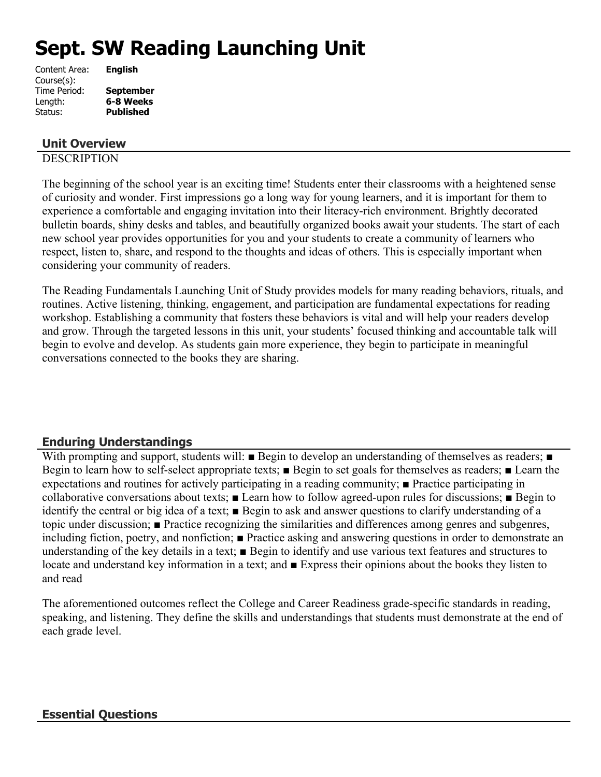# **Sept. SW Reading Launching Unit**

| <b>English</b>   |
|------------------|
|                  |
| <b>September</b> |
| 6-8 Weeks        |
| <b>Published</b> |
|                  |

## **Unit Overview**

## **DESCRIPTION**

The beginning of the school year is an exciting time! Students enter their classrooms with a heightened sense of curiosity and wonder. First impressions go a long way for young learners, and it is important for them to experience a comfortable and engaging invitation into their literacy-rich environment. Brightly decorated bulletin boards, shiny desks and tables, and beautifully organized books await your students. The start of each new school year provides opportunities for you and your students to create a community of learners who respect, listen to, share, and respond to the thoughts and ideas of others. This is especially important when considering your community of readers.

The Reading Fundamentals Launching Unit of Study provides models for many reading behaviors, rituals, and routines. Active listening, thinking, engagement, and participation are fundamental expectations for reading workshop. Establishing a community that fosters these behaviors is vital and will help your readers develop and grow. Through the targeted lessons in this unit, your students' focused thinking and accountable talk will begin to evolve and develop. As students gain more experience, they begin to participate in meaningful conversations connected to the books they are sharing.

# **Enduring Understandings**

With prompting and support, students will: ■ Begin to develop an understanding of themselves as readers; ■ Begin to learn how to self-select appropriate texts; ■ Begin to set goals for themselves as readers; ■ Learn the expectations and routines for actively participating in a reading community; ■ Practice participating in collaborative conversations about texts; ■ Learn how to follow agreed-upon rules for discussions; ■ Begin to identify the central or big idea of a text; ■ Begin to ask and answer questions to clarify understanding of a topic under discussion; ■ Practice recognizing the similarities and differences among genres and subgenres, including fiction, poetry, and nonfiction; ■ Practice asking and answering questions in order to demonstrate an understanding of the key details in a text; ■ Begin to identify and use various text features and structures to locate and understand key information in a text; and ■ Express their opinions about the books they listen to and read

The aforementioned outcomes reflect the College and Career Readiness grade-specific standards in reading, speaking, and listening. They define the skills and understandings that students must demonstrate at the end of each grade level.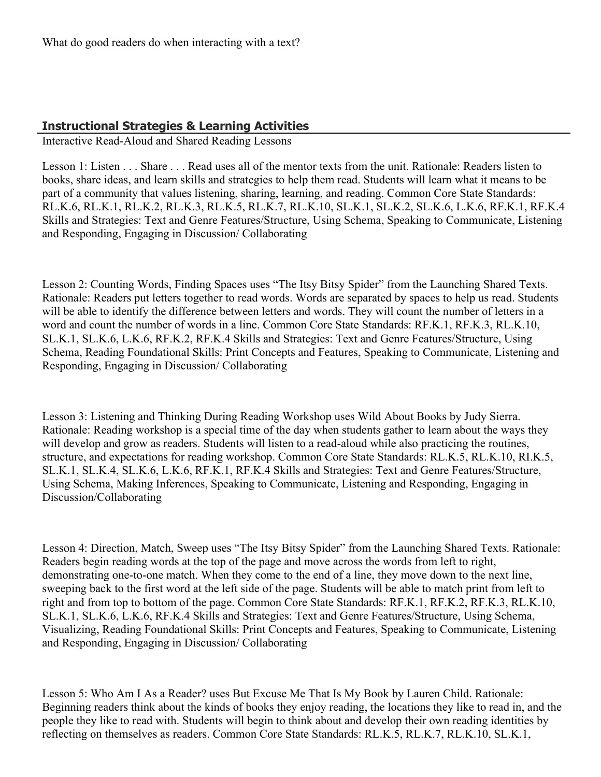# **Instructional Strategies & Learning Activities**

Interactive Read-Aloud and Shared Reading Lessons

Lesson 1: Listen . . . Share . . . Read uses all of the mentor texts from the unit. Rationale: Readers listen to books, share ideas, and learn skills and strategies to help them read. Students will learn what it means to be part of a community that values listening, sharing, learning, and reading. Common Core State Standards: RL.K.6, RL.K.1, RL.K.2, RL.K.3, RL.K.5, RL.K.7, RL.K.10, SL.K.1, SL.K.2, SL.K.6, L.K.6, RF.K.1, RF.K.4 Skills and Strategies: Text and Genre Features/Structure, Using Schema, Speaking to Communicate, Listening and Responding, Engaging in Discussion/ Collaborating

Lesson 2: Counting Words, Finding Spaces uses "The Itsy Bitsy Spider" from the Launching Shared Texts. Rationale: Readers put letters together to read words. Words are separated by spaces to help us read. Students will be able to identify the difference between letters and words. They will count the number of letters in a word and count the number of words in a line. Common Core State Standards: RF.K.1, RF.K.3, RL.K.10, SL.K.1, SL.K.6, L.K.6, RF.K.2, RF.K.4 Skills and Strategies: Text and Genre Features/Structure, Using Schema, Reading Foundational Skills: Print Concepts and Features, Speaking to Communicate, Listening and Responding, Engaging in Discussion/ Collaborating

Lesson 3: Listening and Thinking During Reading Workshop uses Wild About Books by Judy Sierra. Rationale: Reading workshop is a special time of the day when students gather to learn about the ways they will develop and grow as readers. Students will listen to a read-aloud while also practicing the routines, structure, and expectations for reading workshop. Common Core State Standards: RL.K.5, RL.K.10, RI.K.5, SL.K.1, SL.K.4, SL.K.6, L.K.6, RF.K.1, RF.K.4 Skills and Strategies: Text and Genre Features/Structure, Using Schema, Making Inferences, Speaking to Communicate, Listening and Responding, Engaging in Discussion/Collaborating

Lesson 4: Direction, Match, Sweep uses "The Itsy Bitsy Spider" from the Launching Shared Texts. Rationale: Readers begin reading words at the top of the page and move across the words from left to right, demonstrating one-to-one match. When they come to the end of a line, they move down to the next line, sweeping back to the first word at the left side of the page. Students will be able to match print from left to right and from top to bottom of the page. Common Core State Standards: RF.K.1, RF.K.2, RF.K.3, RL.K.10, SL.K.1, SL.K.6, L.K.6, RF.K.4 Skills and Strategies: Text and Genre Features/Structure, Using Schema, Visualizing, Reading Foundational Skills: Print Concepts and Features, Speaking to Communicate, Listening and Responding, Engaging in Discussion/ Collaborating

Lesson 5: Who Am I As a Reader? uses But Excuse Me That Is My Book by Lauren Child. Rationale: Beginning readers think about the kinds of books they enjoy reading, the locations they like to read in, and the people they like to read with. Students will begin to think about and develop their own reading identities by reflecting on themselves as readers. Common Core State Standards: RL.K.5, RL.K.7, RL.K.10, SL.K.1,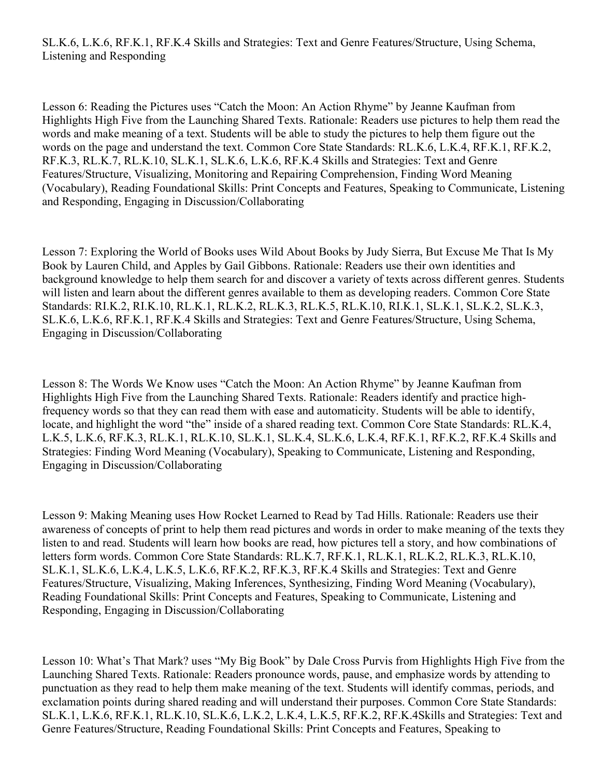Lesson 6: Reading the Pictures uses "Catch the Moon: An Action Rhyme" by Jeanne Kaufman from Highlights High Five from the Launching Shared Texts. Rationale: Readers use pictures to help them read the words and make meaning of a text. Students will be able to study the pictures to help them figure out the words on the page and understand the text. Common Core State Standards: RL.K.6, L.K.4, RF.K.1, RF.K.2, RF.K.3, RL.K.7, RL.K.10, SL.K.1, SL.K.6, L.K.6, RF.K.4 Skills and Strategies: Text and Genre Features/Structure, Visualizing, Monitoring and Repairing Comprehension, Finding Word Meaning (Vocabulary), Reading Foundational Skills: Print Concepts and Features, Speaking to Communicate, Listening and Responding, Engaging in Discussion/Collaborating

Lesson 7: Exploring the World of Books uses Wild About Books by Judy Sierra, But Excuse Me That Is My Book by Lauren Child, and Apples by Gail Gibbons. Rationale: Readers use their own identities and background knowledge to help them search for and discover a variety of texts across different genres. Students will listen and learn about the different genres available to them as developing readers. Common Core State Standards: RI.K.2, RI.K.10, RL.K.1, RL.K.2, RL.K.3, RL.K.5, RL.K.10, RI.K.1, SL.K.1, SL.K.2, SL.K.3, SL.K.6, L.K.6, RF.K.1, RF.K.4 Skills and Strategies: Text and Genre Features/Structure, Using Schema, Engaging in Discussion/Collaborating

Lesson 8: The Words We Know uses "Catch the Moon: An Action Rhyme" by Jeanne Kaufman from Highlights High Five from the Launching Shared Texts. Rationale: Readers identify and practice highfrequency words so that they can read them with ease and automaticity. Students will be able to identify, locate, and highlight the word "the" inside of a shared reading text. Common Core State Standards: RL.K.4, L.K.5, L.K.6, RF.K.3, RL.K.1, RL.K.10, SL.K.1, SL.K.4, SL.K.6, L.K.4, RF.K.1, RF.K.2, RF.K.4 Skills and Strategies: Finding Word Meaning (Vocabulary), Speaking to Communicate, Listening and Responding, Engaging in Discussion/Collaborating

Lesson 9: Making Meaning uses How Rocket Learned to Read by Tad Hills. Rationale: Readers use their awareness of concepts of print to help them read pictures and words in order to make meaning of the texts they listen to and read. Students will learn how books are read, how pictures tell a story, and how combinations of letters form words. Common Core State Standards: RL.K.7, RF.K.1, RL.K.1, RL.K.2, RL.K.3, RL.K.10, SL.K.1, SL.K.6, L.K.4, L.K.5, L.K.6, RF.K.2, RF.K.3, RF.K.4 Skills and Strategies: Text and Genre Features/Structure, Visualizing, Making Inferences, Synthesizing, Finding Word Meaning (Vocabulary), Reading Foundational Skills: Print Concepts and Features, Speaking to Communicate, Listening and Responding, Engaging in Discussion/Collaborating

Lesson 10: What's That Mark? uses "My Big Book" by Dale Cross Purvis from Highlights High Five from the Launching Shared Texts. Rationale: Readers pronounce words, pause, and emphasize words by attending to punctuation as they read to help them make meaning of the text. Students will identify commas, periods, and exclamation points during shared reading and will understand their purposes. Common Core State Standards: SL.K.1, L.K.6, RF.K.1, RL.K.10, SL.K.6, L.K.2, L.K.4, L.K.5, RF.K.2, RF.K.4Skills and Strategies: Text and Genre Features/Structure, Reading Foundational Skills: Print Concepts and Features, Speaking to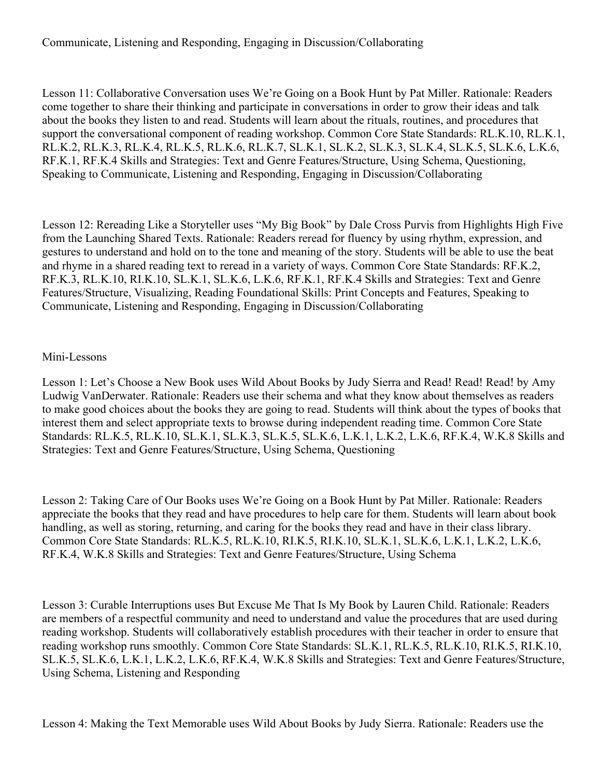## Communicate, Listening and Responding, Engaging in Discussion/Collaborating

Lesson 11: Collaborative Conversation uses We're Going on a Book Hunt by Pat Miller. Rationale: Readers come together to share their thinking and participate in conversations in order to grow their ideas and talk about the books they listen to and read. Students will learn about the rituals, routines, and procedures that support the conversational component of reading workshop. Common Core State Standards: RL.K.10, RL.K.1, RL.K.2, RL.K.3, RL.K.4, RL.K.5, RL.K.6, RL.K.7, SL.K.1, SL.K.2, SL.K.3, SL.K.4, SL.K.5, SL.K.6, L.K.6, RF.K.1, RF.K.4 Skills and Strategies: Text and Genre Features/Structure, Using Schema, Questioning, Speaking to Communicate, Listening and Responding, Engaging in Discussion/Collaborating

Lesson 12: Rereading Like a Storyteller uses "My Big Book" by Dale Cross Purvis from Highlights High Five from the Launching Shared Texts. Rationale: Readers reread for fluency by using rhythm, expression, and gestures to understand and hold on to the tone and meaning of the story. Students will be able to use the beat and rhyme in a shared reading text to reread in a variety of ways. Common Core State Standards: RF.K.2, RF.K.3, RL.K.10, RI.K.10, SL.K.1, SL.K.6, L.K.6, RF.K.1, RF.K.4 Skills and Strategies: Text and Genre Features/Structure, Visualizing, Reading Foundational Skills: Print Concepts and Features, Speaking to Communicate, Listening and Responding, Engaging in Discussion/Collaborating

#### Mini-Lessons

Lesson 1: Let's Choose a New Book uses Wild About Books by Judy Sierra and Read! Read! Read! by Amy Ludwig VanDerwater. Rationale: Readers use their schema and what they know about themselves as readers to make good choices about the books they are going to read. Students will think about the types of books that interest them and select appropriate texts to browse during independent reading time. Common Core State Standards: RL.K.5, RL.K.10, SL.K.1, SL.K.3, SL.K.5, SL.K.6, L.K.1, L.K.2, L.K.6, RF.K.4, W.K.8 Skills and Strategies: Text and Genre Features/Structure, Using Schema, Questioning

Lesson 2: Taking Care of Our Books uses We're Going on a Book Hunt by Pat Miller. Rationale: Readers appreciate the books that they read and have procedures to help care for them. Students will learn about book handling, as well as storing, returning, and caring for the books they read and have in their class library. Common Core State Standards: RL.K.5, RL.K.10, RI.K.5, RI.K.10, SL.K.1, SL.K.6, L.K.1, L.K.2, L.K.6, RF.K.4, W.K.8 Skills and Strategies: Text and Genre Features/Structure, Using Schema

Lesson 3: Curable Interruptions uses But Excuse Me That Is My Book by Lauren Child. Rationale: Readers are members of a respectful community and need to understand and value the procedures that are used during reading workshop. Students will collaboratively establish procedures with their teacher in order to ensure that reading workshop runs smoothly. Common Core State Standards: SL.K.1, RL.K.5, RL.K.10, RI.K.5, RI.K.10, SL.K.5, SL.K.6, L.K.1, L.K.2, L.K.6, RF.K.4, W.K.8 Skills and Strategies: Text and Genre Features/Structure, Using Schema, Listening and Responding

Lesson 4: Making the Text Memorable uses Wild About Books by Judy Sierra. Rationale: Readers use the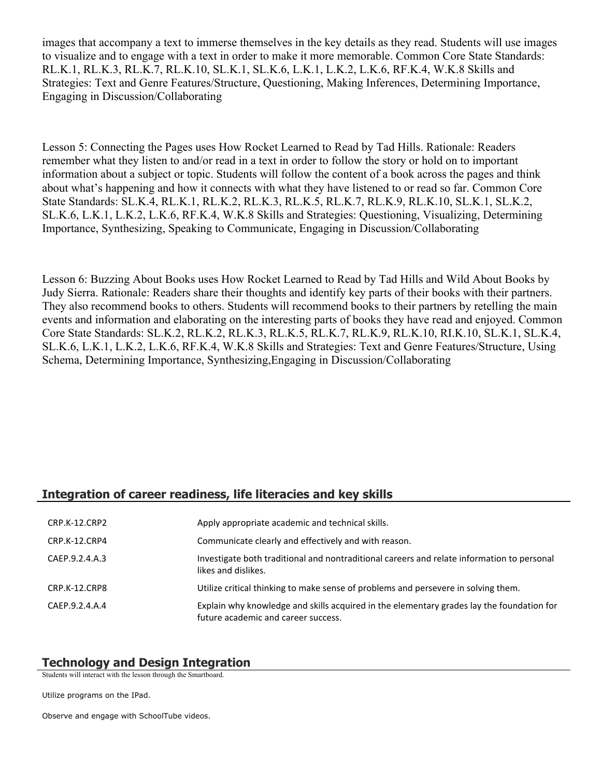images that accompany a text to immerse themselves in the key details as they read. Students will use images to visualize and to engage with a text in order to make it more memorable. Common Core State Standards: RL.K.1, RL.K.3, RL.K.7, RL.K.10, SL.K.1, SL.K.6, L.K.1, L.K.2, L.K.6, RF.K.4, W.K.8 Skills and Strategies: Text and Genre Features/Structure, Questioning, Making Inferences, Determining Importance, Engaging in Discussion/Collaborating

Lesson 5: Connecting the Pages uses How Rocket Learned to Read by Tad Hills. Rationale: Readers remember what they listen to and/or read in a text in order to follow the story or hold on to important information about a subject or topic. Students will follow the content of a book across the pages and think about what's happening and how it connects with what they have listened to or read so far. Common Core State Standards: SL.K.4, RL.K.1, RL.K.2, RL.K.3, RL.K.5, RL.K.7, RL.K.9, RL.K.10, SL.K.1, SL.K.2, SL.K.6, L.K.1, L.K.2, L.K.6, RF.K.4, W.K.8 Skills and Strategies: Questioning, Visualizing, Determining Importance, Synthesizing, Speaking to Communicate, Engaging in Discussion/Collaborating

Lesson 6: Buzzing About Books uses How Rocket Learned to Read by Tad Hills and Wild About Books by Judy Sierra. Rationale: Readers share their thoughts and identify key parts of their books with their partners. They also recommend books to others. Students will recommend books to their partners by retelling the main events and information and elaborating on the interesting parts of books they have read and enjoyed. Common Core State Standards: SL.K.2, RL.K.2, RL.K.3, RL.K.5, RL.K.7, RL.K.9, RL.K.10, RI.K.10, SL.K.1, SL.K.4, SL.K.6, L.K.1, L.K.2, L.K.6, RF.K.4, W.K.8 Skills and Strategies: Text and Genre Features/Structure, Using Schema, Determining Importance, Synthesizing,Engaging in Discussion/Collaborating

### **Integration of career readiness, life literacies and key skills**

| CRP.K-12.CRP2  | Apply appropriate academic and technical skills.                                                                                 |
|----------------|----------------------------------------------------------------------------------------------------------------------------------|
| CRP.K-12.CRP4  | Communicate clearly and effectively and with reason.                                                                             |
| CAEP.9.2.4.A.3 | Investigate both traditional and nontraditional careers and relate information to personal<br>likes and dislikes.                |
| CRP.K-12.CRP8  | Utilize critical thinking to make sense of problems and persevere in solving them.                                               |
| CAEP.9.2.4.A.4 | Explain why knowledge and skills acquired in the elementary grades lay the foundation for<br>future academic and career success. |

#### **Technology and Design Integration**

Students will interact with the lesson through the Smartboard.

Utilize programs on the IPad.

Observe and engage with SchoolTube videos.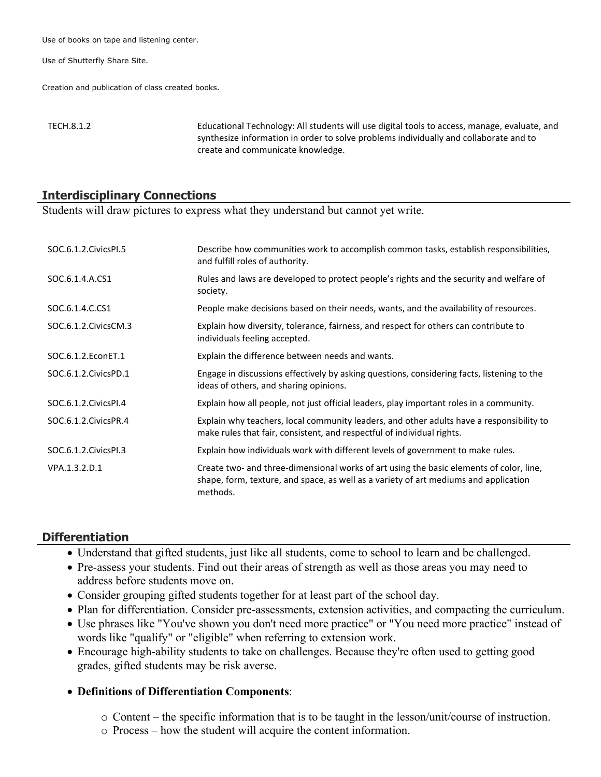Use of books on tape and listening center.

Use of Shutterfly Share Site.

Creation and publication of class created books.

TECH.8.1.2 Educational Technology: All students will use digital tools to access, manage, evaluate, and synthesize information in order to solve problems individually and collaborate and to create and communicate knowledge.

#### **Interdisciplinary Connections**

Students will draw pictures to express what they understand but cannot yet write.

| SOC.6.1.2. Civics PI.5 | Describe how communities work to accomplish common tasks, establish responsibilities,<br>and fulfill roles of authority.                                                                    |
|------------------------|---------------------------------------------------------------------------------------------------------------------------------------------------------------------------------------------|
| SOC.6.1.4.A.CS1        | Rules and laws are developed to protect people's rights and the security and welfare of<br>society.                                                                                         |
| SOC.6.1.4.C.CS1        | People make decisions based on their needs, wants, and the availability of resources.                                                                                                       |
| SOC.6.1.2. Civics CM.3 | Explain how diversity, tolerance, fairness, and respect for others can contribute to<br>individuals feeling accepted.                                                                       |
| SOC.6.1.2. EconET.1    | Explain the difference between needs and wants.                                                                                                                                             |
| SOC.6.1.2. Civics PD.1 | Engage in discussions effectively by asking questions, considering facts, listening to the<br>ideas of others, and sharing opinions.                                                        |
| SOC.6.1.2. Civics PI.4 | Explain how all people, not just official leaders, play important roles in a community.                                                                                                     |
| SOC.6.1.2. Civics PR.4 | Explain why teachers, local community leaders, and other adults have a responsibility to<br>make rules that fair, consistent, and respectful of individual rights.                          |
| SOC.6.1.2. Civics PI.3 | Explain how individuals work with different levels of government to make rules.                                                                                                             |
| VPA.1.3.2.D.1          | Create two- and three-dimensional works of art using the basic elements of color, line,<br>shape, form, texture, and space, as well as a variety of art mediums and application<br>methods. |

### **Differentiation**

- Understand that gifted students, just like all students, come to school to learn and be challenged.
- Pre-assess your students. Find out their areas of strength as well as those areas you may need to address before students move on.
- Consider grouping gifted students together for at least part of the school day.
- Plan for differentiation. Consider pre-assessments, extension activities, and compacting the curriculum.
- Use phrases like "You've shown you don't need more practice" or "You need more practice" instead of words like "qualify" or "eligible" when referring to extension work.
- Encourage high-ability students to take on challenges. Because they're often used to getting good grades, gifted students may be risk averse.

### **Definitions of Differentiation Components**:

- o Content the specific information that is to be taught in the lesson/unit/course of instruction.
- o Process how the student will acquire the content information.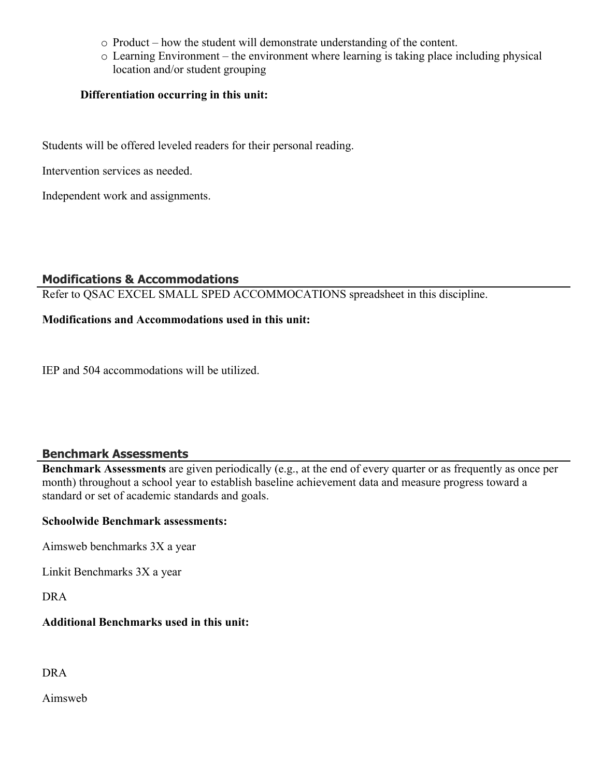- o Product how the student will demonstrate understanding of the content.
- o Learning Environment the environment where learning is taking place including physical location and/or student grouping

## **Differentiation occurring in this unit:**

Students will be offered leveled readers for their personal reading.

Intervention services as needed.

Independent work and assignments.

# **Modifications & Accommodations**

Refer to QSAC EXCEL SMALL SPED ACCOMMOCATIONS spreadsheet in this discipline.

# **Modifications and Accommodations used in this unit:**

IEP and 504 accommodations will be utilized.

# **Benchmark Assessments**

**Benchmark Assessments** are given periodically (e.g., at the end of every quarter or as frequently as once per month) throughout a school year to establish baseline achievement data and measure progress toward a standard or set of academic standards and goals.

### **Schoolwide Benchmark assessments:**

Aimsweb benchmarks 3X a year

Linkit Benchmarks 3X a year

DRA

### **Additional Benchmarks used in this unit:**

### DRA

Aimsweb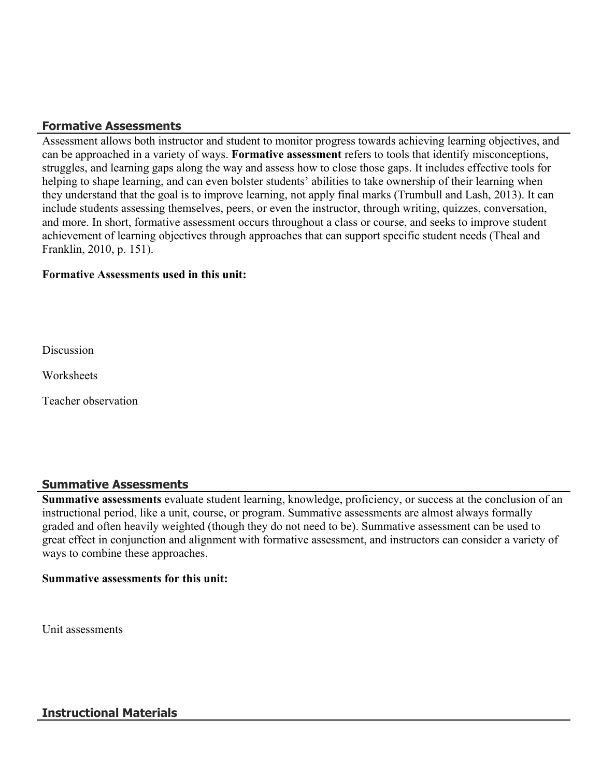# **Formative Assessments**

Assessment allows both instructor and student to monitor progress towards achieving learning objectives, and can be approached in a variety of ways. **Formative assessment** refers to tools that identify misconceptions, struggles, and learning gaps along the way and assess how to close those gaps. It includes effective tools for helping to shape learning, and can even bolster students' abilities to take ownership of their learning when they understand that the goal is to improve learning, not apply final marks (Trumbull and Lash, 2013). It can include students assessing themselves, peers, or even the instructor, through writing, quizzes, conversation, and more. In short, formative assessment occurs throughout a class or course, and seeks to improve student achievement of learning objectives through approaches that can support specific student needs (Theal and Franklin, 2010, p. 151).

#### **Formative Assessments used in this unit:**

**Discussion** 

**Worksheets** 

Teacher observation

### **Summative Assessments**

**Summative assessments** evaluate student learning, knowledge, proficiency, or success at the conclusion of an instructional period, like a unit, course, or program. Summative assessments are almost always formally graded and often heavily weighted (though they do not need to be). Summative assessment can be used to great effect in conjunction and alignment with formative assessment, and instructors can consider a variety of ways to combine these approaches.

#### **Summative assessments for this unit:**

Unit assessments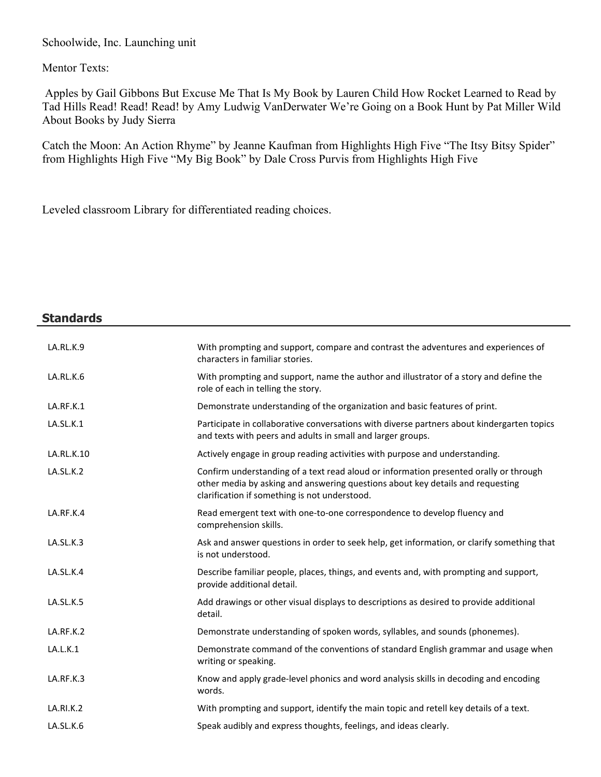Schoolwide, Inc. Launching unit

Mentor Texts:

 Apples by Gail Gibbons But Excuse Me That Is My Book by Lauren Child How Rocket Learned to Read by Tad Hills Read! Read! Read! by Amy Ludwig VanDerwater We're Going on a Book Hunt by Pat Miller Wild About Books by Judy Sierra

Catch the Moon: An Action Rhyme" by Jeanne Kaufman from Highlights High Five "The Itsy Bitsy Spider" from Highlights High Five "My Big Book" by Dale Cross Purvis from Highlights High Five

Leveled classroom Library for differentiated reading choices.

| <b>Standards</b> |                                                                                                                                                                                                                          |
|------------------|--------------------------------------------------------------------------------------------------------------------------------------------------------------------------------------------------------------------------|
| LA.RL.K.9        | With prompting and support, compare and contrast the adventures and experiences of<br>characters in familiar stories.                                                                                                    |
| LA.RL.K.6        | With prompting and support, name the author and illustrator of a story and define the<br>role of each in telling the story.                                                                                              |
| LA.RF.K.1        | Demonstrate understanding of the organization and basic features of print.                                                                                                                                               |
| LA.SL.K.1        | Participate in collaborative conversations with diverse partners about kindergarten topics<br>and texts with peers and adults in small and larger groups.                                                                |
| LA.RL.K.10       | Actively engage in group reading activities with purpose and understanding.                                                                                                                                              |
| LA.SL.K.2        | Confirm understanding of a text read aloud or information presented orally or through<br>other media by asking and answering questions about key details and requesting<br>clarification if something is not understood. |
| LA.RF.K.4        | Read emergent text with one-to-one correspondence to develop fluency and<br>comprehension skills.                                                                                                                        |
| LA.SL.K.3        | Ask and answer questions in order to seek help, get information, or clarify something that<br>is not understood.                                                                                                         |
| LA.SL.K.4        | Describe familiar people, places, things, and events and, with prompting and support,<br>provide additional detail.                                                                                                      |
| LA.SL.K.5        | Add drawings or other visual displays to descriptions as desired to provide additional<br>detail.                                                                                                                        |
| LA.RF.K.2        | Demonstrate understanding of spoken words, syllables, and sounds (phonemes).                                                                                                                                             |
| LA.L.K.1         | Demonstrate command of the conventions of standard English grammar and usage when<br>writing or speaking.                                                                                                                |
| LA.RF.K.3        | Know and apply grade-level phonics and word analysis skills in decoding and encoding<br>words.                                                                                                                           |
| <b>LA.RI.K.2</b> | With prompting and support, identify the main topic and retell key details of a text.                                                                                                                                    |
| LA.SL.K.6        | Speak audibly and express thoughts, feelings, and ideas clearly.                                                                                                                                                         |